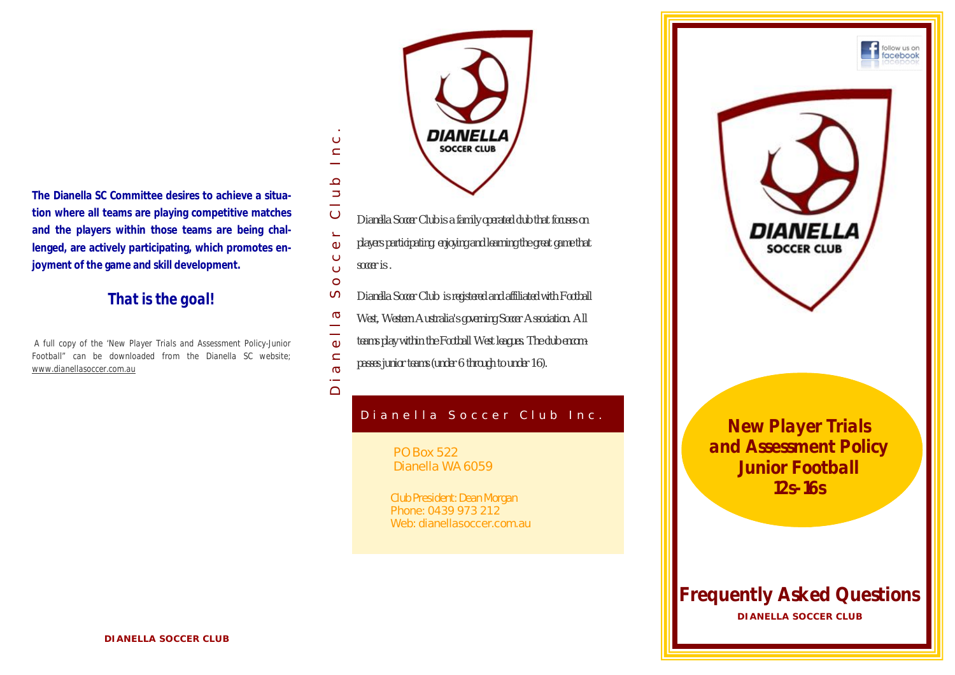**The Dianella SC Committee desires to achieve a situation where all teams are playing competitive matches and the players within those teams are being challenged, are actively participating, which promotes enjoyment of the game and skill development.**

# *That is the goal!*

*A full copy of the 'New Player Trials and Assessment Policy-Junior Football" can be downloaded from the Dianella SC website; www.dianellasoccer.com.au*



- $\overline{C}$  $\Box$
- *players participating, enjoying and learning the great game that*   $\Phi$
- $\ddot{\circ}$ *soccer is .*  $\ddot{\circ}$

 $\circ$ 

 $\subset$  $\equiv$  $\Omega$  $\Rightarrow$ 

 $\circ$ 

 $\overline{a}$  $\bigcap$ 

- $\sigma$ *Dianella Soccer Club is registered and affiliated with Football*
- Dianella Soccer Club Inc.<br>D  $\sigma$ *West, Western Australia's governing Soccer Association. All*
- $\frac{1}{\omega}$ *teams play within the Football West leagues. The club encom-*
- $\frac{a}{\sigma}$ *passes junior teams (under 6 through to under 16).*

# Dianella Soccer Club Inc.

PO Box 522 Dianella WA 6059

Club President: Dean Morgan Phone: 0439 973 212 Web: dianellasoccer.com.au



*New Player Trials and Assessment Policy Junior Football 12s-16s*

B u s i n e s s N a m e

**DIANELLA SOCCER CLUB** *Frequently Asked Questions*